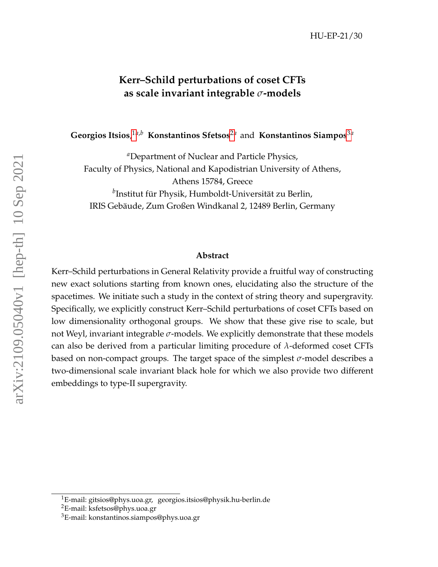### **Kerr–Schild perturbations of coset CFTs as scale invariant integrable** *σ***-models**

**Georgios Itsios**, [1](#page-0-0)*a*,*<sup>b</sup>* **Konstantinos Sfetsos**[2](#page-0-1)*<sup>a</sup>* and **Konstantinos Siampos**[3](#page-0-2)*<sup>a</sup>*

*<sup>a</sup>*Department of Nuclear and Particle Physics, Faculty of Physics, National and Kapodistrian University of Athens, Athens 15784, Greece *b* Institut für Physik, Humboldt-Universität zu Berlin, IRIS Gebäude, Zum Großen Windkanal 2, 12489 Berlin, Germany

#### **Abstract**

Kerr–Schild perturbations in General Relativity provide a fruitful way of constructing new exact solutions starting from known ones, elucidating also the structure of the spacetimes. We initiate such a study in the context of string theory and supergravity. Specifically, we explicitly construct Kerr–Schild perturbations of coset CFTs based on low dimensionality orthogonal groups. We show that these give rise to scale, but not Weyl, invariant integrable *σ*-models. We explicitly demonstrate that these models can also be derived from a particular limiting procedure of *λ*-deformed coset CFTs based on non-compact groups. The target space of the simplest *σ*-model describes a two-dimensional scale invariant black hole for which we also provide two different embeddings to type-II supergravity.

<span id="page-0-0"></span><sup>&</sup>lt;sup>1</sup>E-mail: gitsios@phys.uoa.gr, georgios.itsios@physik.hu-berlin.de

<span id="page-0-1"></span><sup>&</sup>lt;sup>2</sup>E-mail: ksfetsos@phys.uoa.gr

<span id="page-0-2"></span><sup>3</sup>E-mail: konstantinos.siampos@phys.uoa.gr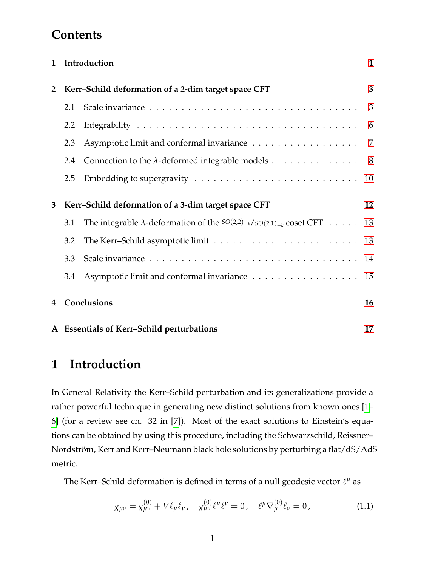## **Contents**

| $\mathbf{1}$   |                                                     | Introduction                                                                                  | $\mathbf{1}$             |
|----------------|-----------------------------------------------------|-----------------------------------------------------------------------------------------------|--------------------------|
| $\overline{2}$ | Kerr-Schild deformation of a 2-dim target space CFT |                                                                                               | 3                        |
|                | 2.1                                                 |                                                                                               | $\overline{\phantom{a}}$ |
|                | 2.2                                                 |                                                                                               | 6                        |
|                | 2.3                                                 | Asymptotic limit and conformal invariance 7                                                   |                          |
|                | 2.4                                                 | Connection to the $\lambda$ -deformed integrable models 8                                     |                          |
|                | 2.5                                                 |                                                                                               | 10                       |
| 3              | Kerr-Schild deformation of a 3-dim target space CFT |                                                                                               | 12                       |
|                | 3.1                                                 | The integrable $\lambda$ -deformation of the $SO(2,2)_{-k}/SO(2,1)_{-k}$ coset CFT $\ldots$ . | 13                       |
|                | 3.2                                                 |                                                                                               |                          |
|                | 3.3                                                 |                                                                                               | 14                       |
|                | 3.4                                                 | Asymptotic limit and conformal invariance 15                                                  |                          |
| 4              | Conclusions                                         |                                                                                               | 16                       |
|                |                                                     | A Essentials of Kerr-Schild perturbations                                                     | 17                       |

# <span id="page-1-0"></span>**1 Introduction**

In General Relativity the Kerr–Schild perturbation and its generalizations provide a rather powerful technique in generating new distinct solutions from known ones [\[1–](#page-20-0) [6\]](#page-20-1) (for a review see ch. 32 in [\[7\]](#page-20-2)). Most of the exact solutions to Einstein's equations can be obtained by using this procedure, including the Schwarzschild, Reissner– Nordström, Kerr and Kerr–Neumann black hole solutions by perturbing a flat/dS/AdS metric.

The Kerr–Schild deformation is defined in terms of a null geodesic vector  $\ell^{\mu}$  as

<span id="page-1-1"></span>
$$
g_{\mu\nu} = g_{\mu\nu}^{(0)} + V \ell_{\mu} \ell_{\nu}, \quad g_{\mu\nu}^{(0)} \ell^{\mu} \ell^{\nu} = 0, \quad \ell^{\mu} \nabla_{\mu}^{(0)} \ell_{\nu} = 0, \tag{1.1}
$$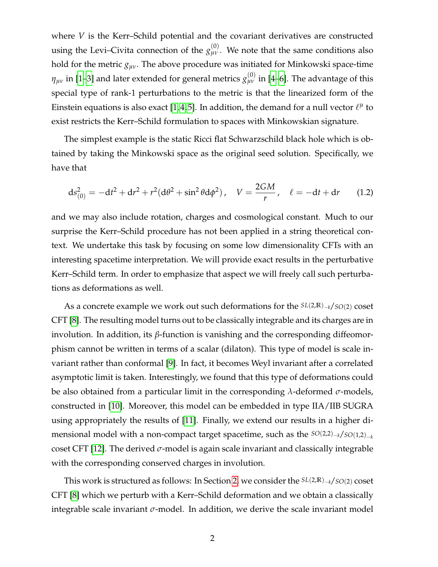where *V* is the Kerr–Schild potential and the covariant derivatives are constructed using the Levi–Civita connection of the  $g_{\mu\nu}^{(0)}$ . We note that the same conditions also hold for the metric  $g_{\mu\nu}$ . The above procedure was initiated for Minkowski space-time  $\eta_{\mu\nu}$  in [\[1–](#page-20-0)[3\]](#page-20-3) and later extended for general metrics  $g_{\mu\nu}^{(0)}$  in [\[4–](#page-20-4)[6\]](#page-20-1). The advantage of this special type of rank-1 perturbations to the metric is that the linearized form of the Einstein equations is also exact [\[1,](#page-20-0)4,5]. In addition, the demand for a null vector  $\ell^\mu$  to exist restricts the Kerr–Schild formulation to spaces with Minkowskian signature.

The simplest example is the static Ricci flat Schwarzschild black hole which is obtained by taking the Minkowski space as the original seed solution. Specifically, we have that

$$
ds_{(0)}^{2} = -dt^{2} + dr^{2} + r^{2}(d\theta^{2} + \sin^{2}\theta d\phi^{2}), \quad V = \frac{2GM}{r}, \quad \ell = -dt + dr \qquad (1.2)
$$

and we may also include rotation, charges and cosmological constant. Much to our surprise the Kerr–Schild procedure has not been applied in a string theoretical context. We undertake this task by focusing on some low dimensionality CFTs with an interesting spacetime interpretation. We will provide exact results in the perturbative Kerr–Schild term. In order to emphasize that aspect we will freely call such perturbations as deformations as well.

As a concrete example we work out such deformations for the *SL*(2,**R**)−*k*/*SO*(2) coset CFT [\[8\]](#page-20-6). The resulting model turns out to be classically integrable and its charges are in involution. In addition, its *β*-function is vanishing and the corresponding diffeomorphism cannot be written in terms of a scalar (dilaton). This type of model is scale invariant rather than conformal [\[9\]](#page-20-7). In fact, it becomes Weyl invariant after a correlated asymptotic limit is taken. Interestingly, we found that this type of deformations could be also obtained from a particular limit in the corresponding *λ*-deformed *σ*-models, constructed in [\[10\]](#page-21-0). Moreover, this model can be embedded in type IIA/IIB SUGRA using appropriately the results of [\[11\]](#page-21-1). Finally, we extend our results in a higher dimensional model with a non-compact target spacetime, such as the *SO*(2,2)−*k*/*SO*(1,2)−*<sup>k</sup>* coset CFT [\[12\]](#page-21-2). The derived *σ*-model is again scale invariant and classically integrable with the corresponding conserved charges in involution.

This work is structured as follows: In Section [2,](#page-3-0) we consider the *SL*(2,**R**)−*k*/*SO*(2) coset CFT [\[8\]](#page-20-6) which we perturb with a Kerr–Schild deformation and we obtain a classically integrable scale invariant  $\sigma$ -model. In addition, we derive the scale invariant model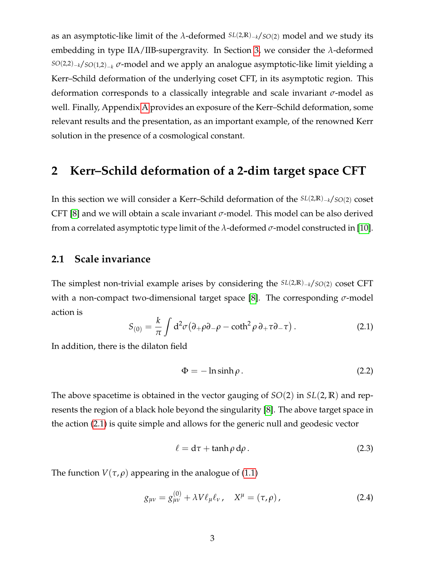as an asymptotic-like limit of the *λ*-deformed *SL*(2,**R**)−*k*/*SO*(2) model and we study its embedding in type IIA/IIB-supergravity. In Section [3,](#page-12-0) we consider the *λ*-deformed *SO*(2,2)−*k*/*SO*(1,2)−*<sup>k</sup> σ*-model and we apply an analogue asymptotic-like limit yielding a Kerr–Schild deformation of the underlying coset CFT, in its asymptotic region. This deformation corresponds to a classically integrable and scale invariant *σ*-model as well. Finally, Appendix [A](#page-17-0) provides an exposure of the Kerr–Schild deformation, some relevant results and the presentation, as an important example, of the renowned Kerr solution in the presence of a cosmological constant.

### <span id="page-3-0"></span>**2 Kerr–Schild deformation of a 2-dim target space CFT**

In this section we will consider a Kerr–Schild deformation of the *SL*(2,**R**)−*k*/*SO*(2) coset CFT [\[8\]](#page-20-6) and we will obtain a scale invariant *σ*-model. This model can be also derived from a correlated asymptotic type limit of the *λ*-deformed *σ*-model constructed in [\[10\]](#page-21-0).

#### <span id="page-3-1"></span>**2.1 Scale invariance**

The simplest non-trivial example arises by considering the *SL*(2,**R**)−*k*/*SO*(2) coset CFT with a non-compact two-dimensional target space [\[8\]](#page-20-6). The corresponding *σ*-model action is

<span id="page-3-2"></span>
$$
S_{(0)} = \frac{k}{\pi} \int d^2 \sigma (\partial_+ \rho \partial_- \rho - \coth^2 \rho \partial_+ \tau \partial_- \tau).
$$
 (2.1)

In addition, there is the dilaton field

<span id="page-3-4"></span>
$$
\Phi = -\ln \sinh \rho. \tag{2.2}
$$

The above spacetime is obtained in the vector gauging of *SO*(2) in *SL*(2, **R**) and represents the region of a black hole beyond the singularity [\[8\]](#page-20-6). The above target space in the action [\(2.1\)](#page-3-2) is quite simple and allows for the generic null and geodesic vector

<span id="page-3-5"></span>
$$
\ell = d\tau + \tanh \rho \, d\rho \,. \tag{2.3}
$$

The function  $V(\tau, \rho)$  appearing in the analogue of [\(1.1\)](#page-1-1)

<span id="page-3-3"></span>
$$
g_{\mu\nu} = g_{\mu\nu}^{(0)} + \lambda V \ell_{\mu} \ell_{\nu} , \quad X^{\mu} = (\tau, \rho) , \qquad (2.4)
$$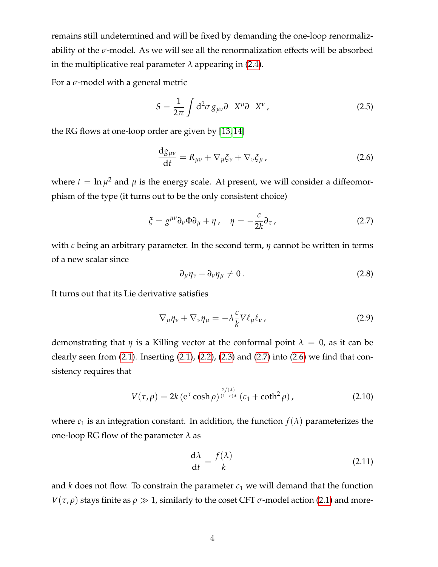remains still undetermined and will be fixed by demanding the one-loop renormalizability of the  $\sigma$ -model. As we will see all the renormalization effects will be absorbed in the multiplicative real parameter  $\lambda$  appearing in [\(2.4\)](#page-3-3).

For a *σ*-model with a general metric

<span id="page-4-4"></span>
$$
S = \frac{1}{2\pi} \int d^2 \sigma \, g_{\mu\nu} \partial_+ X^\mu \partial_- X^\nu \,, \tag{2.5}
$$

the RG flows at one-loop order are given by [\[13,](#page-21-3) [14\]](#page-21-4)

<span id="page-4-1"></span>
$$
\frac{\mathrm{d}g_{\mu\nu}}{\mathrm{d}t} = R_{\mu\nu} + \nabla_{\mu}\xi_{\nu} + \nabla_{\nu}\xi_{\mu}\,,\tag{2.6}
$$

where  $t = \ln \mu^2$  and  $\mu$  is the energy scale. At present, we will consider a diffeomorphism of the type (it turns out to be the only consistent choice)

<span id="page-4-0"></span>
$$
\xi = g^{\mu\nu} \partial_{\nu} \Phi \partial_{\mu} + \eta \,, \quad \eta = -\frac{c}{2k} \partial_{\tau} \,, \tag{2.7}
$$

with *c* being an arbitrary parameter. In the second term, *η* cannot be written in terms of a new scalar since

<span id="page-4-3"></span>
$$
\partial_{\mu}\eta_{\nu} - \partial_{\nu}\eta_{\mu} \neq 0. \tag{2.8}
$$

It turns out that its Lie derivative satisfies

<span id="page-4-5"></span>
$$
\nabla_{\mu}\eta_{\nu} + \nabla_{\nu}\eta_{\mu} = -\lambda \frac{c}{k} V \ell_{\mu} \ell_{\nu}, \qquad (2.9)
$$

demonstrating that *η* is a Killing vector at the conformal point  $\lambda = 0$ , as it can be clearly seen from  $(2.1)$ . Inserting  $(2.1)$ ,  $(2.2)$ ,  $(2.3)$  and  $(2.7)$  into  $(2.6)$  we find that consistency requires that

$$
V(\tau,\rho) = 2k \left(e^{\tau} \cosh \rho\right)^{\frac{2f(\lambda)}{(1-c)\lambda}} \left(c_1 + \coth^2 \rho\right),\tag{2.10}
$$

where  $c_1$  is an integration constant. In addition, the function  $f(\lambda)$  parameterizes the one-loop RG flow of the parameter *λ* as

<span id="page-4-2"></span>
$$
\frac{\mathrm{d}\lambda}{\mathrm{d}t} = \frac{f(\lambda)}{k} \tag{2.11}
$$

and  $k$  does not flow. To constrain the parameter  $c_1$  we will demand that the function *V*( $\tau$ , $\rho$ ) stays finite as  $\rho \gg 1$ , similarly to the coset CFT  $\sigma$ -model action [\(2.1\)](#page-3-2) and more-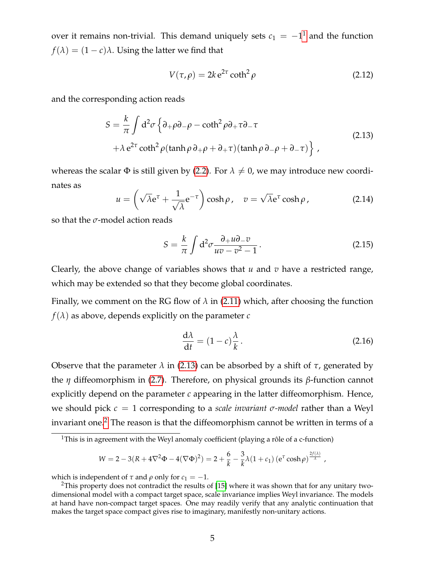over it remains non-trivial. This demand uniquely sets  $c_1 = -1^1$  $c_1 = -1^1$  $c_1 = -1^1$  and the function  $f(\lambda) = (1 - c)\lambda$ . Using the latter we find that

$$
V(\tau, \rho) = 2k e^{2\tau} \coth^2 \rho \tag{2.12}
$$

<span id="page-5-1"></span>and the corresponding action reads

$$
S = \frac{k}{\pi} \int d^2 \sigma \left\{ \partial_+ \rho \partial_- \rho - \coth^2 \rho \partial_+ \tau \partial_- \tau \right. \\ + \lambda e^{2\tau} \coth^2 \rho (\tanh \rho \partial_+ \rho + \partial_+ \tau) (\tanh \rho \partial_- \rho + \partial_- \tau) \right\}, \tag{2.13}
$$

whereas the scalar  $\Phi$  is still given by [\(2.2\)](#page-3-4). For  $\lambda \neq 0$ , we may introduce new coordinates as

$$
u = \left(\sqrt{\lambda}e^{\tau} + \frac{1}{\sqrt{\lambda}}e^{-\tau}\right)\cosh\rho, \quad v = \sqrt{\lambda}e^{\tau}\cosh\rho, \tag{2.14}
$$

so that the *σ*-model action reads

<span id="page-5-3"></span>
$$
S = \frac{k}{\pi} \int d^2 \sigma \frac{\partial_+ u \partial_- v}{uv - v^2 - 1}.
$$
 (2.15)

Clearly, the above change of variables shows that *u* and *v* have a restricted range, which may be extended so that they become global coordinates.

Finally, we comment on the RG flow of  $\lambda$  in [\(2.11\)](#page-4-2) which, after choosing the function  $f(\lambda)$  as above, depends explicitly on the parameter *c* 

<span id="page-5-4"></span>
$$
\frac{\mathrm{d}\lambda}{\mathrm{d}t} = (1 - c)\frac{\lambda}{k}.\tag{2.16}
$$

Observe that the parameter  $λ$  in [\(2.13\)](#page-5-1) can be absorbed by a shift of  $τ$ , generated by the *η* diffeomorphism in [\(2.7\)](#page-4-0). Therefore, on physical grounds its *β*-function cannot explicitly depend on the parameter *c* appearing in the latter diffeomorphism. Hence, we should pick *c* = 1 corresponding to a *scale invariant σ-model* rather than a Weyl invariant one.[2](#page-5-2) The reason is that the diffeomorphism cannot be written in terms of a

$$
W = 2 - 3(R + 4\nabla^2 \Phi - 4(\nabla \Phi)^2) = 2 + \frac{6}{k} - \frac{3}{k}\lambda(1 + c_1) \left(e^{\tau} \cosh \rho\right)^{\frac{2f(\lambda)}{\lambda}},
$$

which is independent of  $\tau$  and  $\rho$  only for  $c_1 = -1$ .

<span id="page-5-0"></span><sup>&</sup>lt;sup>1</sup>This is in agreement with the Weyl anomaly coefficient (playing a rôle of a c-function)

<span id="page-5-2"></span><sup>&</sup>lt;sup>2</sup>This property does not contradict the results of [\[15\]](#page-21-5) where it was shown that for any unitary twodimensional model with a compact target space, scale invariance implies Weyl invariance. The models at hand have non-compact target spaces. One may readily verify that any analytic continuation that makes the target space compact gives rise to imaginary, manifestly non-unitary actions.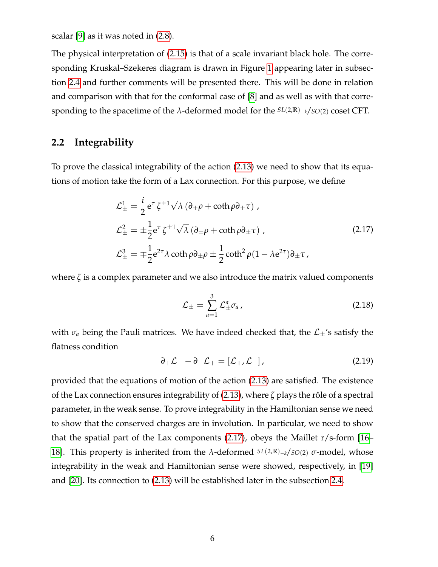scalar [\[9\]](#page-20-7) as it was noted in [\(2.8\)](#page-4-3).

The physical interpretation of [\(2.15\)](#page-5-3) is that of a scale invariant black hole. The corresponding Kruskal–Szekeres diagram is drawn in Figure [1](#page-11-0) appearing later in subsection [2.4](#page-8-0) and further comments will be presented there. This will be done in relation and comparison with that for the conformal case of [\[8\]](#page-20-6) and as well as with that corresponding to the spacetime of the *λ*-deformed model for the *SL*(2,**R**)−*k*/*SO*(2) coset CFT.

### <span id="page-6-0"></span>**2.2 Integrability**

To prove the classical integrability of the action [\(2.13\)](#page-5-1) we need to show that its equations of motion take the form of a Lax connection. For this purpose, we define

$$
\mathcal{L}_{\pm}^{1} = \frac{i}{2} e^{\tau} \zeta^{\pm 1} \sqrt{\lambda} \left( \partial_{\pm} \rho + \coth \rho \partial_{\pm} \tau \right),
$$
  
\n
$$
\mathcal{L}_{\pm}^{2} = \pm \frac{1}{2} e^{\tau} \zeta^{\pm 1} \sqrt{\lambda} \left( \partial_{\pm} \rho + \coth \rho \partial_{\pm} \tau \right),
$$
  
\n
$$
\mathcal{L}_{\pm}^{3} = \mp \frac{1}{2} e^{2\tau} \lambda \coth \rho \partial_{\pm} \rho \pm \frac{1}{2} \coth^{2} \rho (1 - \lambda e^{2\tau}) \partial_{\pm} \tau,
$$
\n(2.17)

<span id="page-6-1"></span>where  $\zeta$  is a complex parameter and we also introduce the matrix valued components

$$
\mathcal{L}_{\pm} = \sum_{a=1}^{3} \mathcal{L}_{\pm}^{a} \sigma_{a} \,, \tag{2.18}
$$

with  $\sigma_a$  being the Pauli matrices. We have indeed checked that, the  $\mathcal{L}_\pm$ 's satisfy the flatness condition

$$
\partial_+ \mathcal{L}_- - \partial_- \mathcal{L}_+ = [\mathcal{L}_+, \mathcal{L}_-], \qquad (2.19)
$$

provided that the equations of motion of the action [\(2.13\)](#page-5-1) are satisfied. The existence of the Lax connection ensures integrability of [\(2.13\)](#page-5-1), where *ζ* plays the rôle of a spectral parameter, in the weak sense. To prove integrability in the Hamiltonian sense we need to show that the conserved charges are in involution. In particular, we need to show that the spatial part of the Lax components [\(2.17\)](#page-6-1), obeys the Maillet r/s-form [\[16–](#page-21-6) [18\]](#page-21-7). This property is inherited from the *λ*-deformed *SL*(2,**R**)−*k*/*SO*(2) *σ*-model, whose integrability in the weak and Hamiltonian sense were showed, respectively, in [\[19\]](#page-21-8) and [\[20\]](#page-21-9). Its connection to [\(2.13\)](#page-5-1) will be established later in the subsection [2.4.](#page-8-0)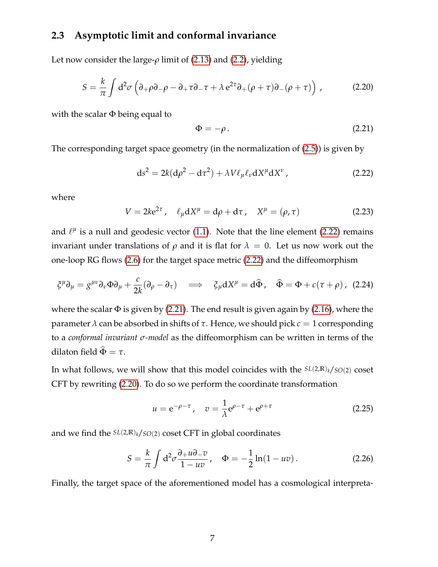### <span id="page-7-0"></span>**2.3 Asymptotic limit and conformal invariance**

<span id="page-7-3"></span>Let now consider the large-*ρ* limit of [\(2.13\)](#page-5-1) and [\(2.2\)](#page-3-4), yielding

$$
S = \frac{k}{\pi} \int d^2 \sigma \left( \partial_+ \rho \partial_- \rho - \partial_+ \tau \partial_- \tau + \lambda e^{2\tau} \partial_+ (\rho + \tau) \partial_- (\rho + \tau) \right) , \tag{2.20}
$$

with the scalar  $\Phi$  being equal to

<span id="page-7-2"></span>
$$
\Phi = -\rho. \tag{2.21}
$$

The corresponding target space geometry (in the normalization of [\(2.5\)](#page-4-4)) is given by

<span id="page-7-1"></span>
$$
ds^{2} = 2k(d\rho^{2} - d\tau^{2}) + \lambda V \ell_{\mu} \ell_{\nu} dX^{\mu} dX^{\nu}, \qquad (2.22)
$$

where

$$
V = 2ke^{2\tau}, \quad \ell_{\mu}dX^{\mu} = d\rho + d\tau, \quad X^{\mu} = (\rho, \tau)
$$
 (2.23)

and  $\ell^{\mu}$  is a null and geodesic vector [\(1.1\)](#page-1-1). Note that the line element [\(2.22\)](#page-7-1) remains invariant under translations of *ρ* and it is flat for  $λ = 0$ . Let us now work out the one-loop RG flows [\(2.6\)](#page-4-1) for the target space metric [\(2.22\)](#page-7-1) and the diffeomorphism

$$
\xi^{\mu}\partial_{\mu} = g^{\mu\nu}\partial_{\nu}\Phi\partial_{\mu} + \frac{c}{2k}(\partial_{\rho} - \partial_{\tau}) \implies \xi_{\mu}dX^{\mu} = d\hat{\Phi}, \quad \hat{\Phi} = \Phi + c(\tau + \rho), \tag{2.24}
$$

where the scalar  $\Phi$  is given by [\(2.21\)](#page-7-2). The end result is given again by [\(2.16\)](#page-5-4), where the parameter *λ* can be absorbed in shifts of *τ*. Hence, we should pick *c* = 1 corresponding to a *conformal invariant σ-model* as the diffeomorphism can be written in terms of the dilaton field  $\widehat{\Phi} = \tau$ .

In what follows, we will show that this model coincides with the *SL*(2,**R**)*k*/*SO*(2) coset CFT by rewriting [\(2.20\)](#page-7-3). To do so we perform the coordinate transformation

$$
u = e^{-\rho - \tau}
$$
,  $v = \frac{1}{\lambda} e^{\rho - \tau} + e^{\rho + \tau}$  (2.25)

and we find the *SL*(2,**R**)*k*/*SO*(2) coset CFT in global coordinates

$$
S = \frac{k}{\pi} \int d^2 \sigma \frac{\partial_+ u \partial_- v}{1 - u v}, \quad \Phi = -\frac{1}{2} \ln(1 - u v). \tag{2.26}
$$

Finally, the target space of the aforementioned model has a cosmological interpreta-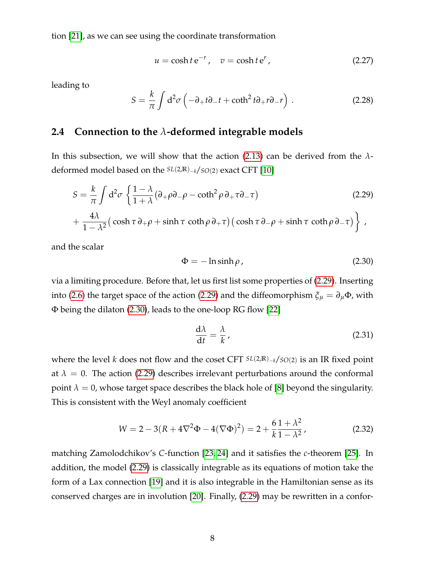tion [\[21\]](#page-21-10), as we can see using the coordinate transformation

$$
u = \cosh t \, \mathrm{e}^{-r} \,, \quad v = \cosh t \, \mathrm{e}^r \,, \tag{2.27}
$$

leading to

$$
S = \frac{k}{\pi} \int d^2 \sigma \left( -\partial_+ t \partial_- t + \coth^2 t \partial_+ r \partial_- r \right) \,. \tag{2.28}
$$

### <span id="page-8-0"></span>**2.4 Connection to the** *λ***-deformed integrable models**

In this subsection, we will show that the action [\(2.13\)](#page-5-1) can be derived from the *λ*deformed model based on the *SL*(2,**R**)−*k*/*SO*(2) exact CFT [\[10\]](#page-21-0)

<span id="page-8-1"></span>
$$
S = \frac{k}{\pi} \int d^2 \sigma \left\{ \frac{1 - \lambda}{1 + \lambda} (\partial_+ \rho \partial_- \rho - \coth^2 \rho \partial_+ \tau \partial_- \tau) \right\}
$$
 (2.29)  
+ 
$$
\frac{4\lambda}{1 - \lambda^2} \left( \cosh \tau \partial_+ \rho + \sinh \tau \coth \rho \partial_+ \tau \right) \left( \cosh \tau \partial_- \rho + \sinh \tau \coth \rho \partial_- \tau \right) \right\},
$$

and the scalar

<span id="page-8-2"></span>
$$
\Phi = -\ln \sinh \rho \tag{2.30}
$$

via a limiting procedure. Before that, let us first list some properties of [\(2.29\)](#page-8-1). Inserting into [\(2.6\)](#page-4-1) the target space of the action [\(2.29\)](#page-8-1) and the diffeomorphism  $\xi_{\mu} = \partial_{\mu} \Phi$ , with Φ being the dilaton [\(2.30\)](#page-8-2), leads to the one-loop RG flow [\[22\]](#page-22-0)

$$
\frac{\mathrm{d}\lambda}{\mathrm{d}t} = \frac{\lambda}{k} \,,\tag{2.31}
$$

where the level *k* does not flow and the coset CFT *SL*(2,**R**)−*k*/*SO*(2) is an IR fixed point at  $\lambda = 0$ . The action [\(2.29\)](#page-8-1) describes irrelevant perturbations around the conformal point  $\lambda = 0$ , whose target space describes the black hole of [\[8\]](#page-20-6) beyond the singularity. This is consistent with the Weyl anomaly coefficient

$$
W = 2 - 3(R + 4\nabla^2 \Phi - 4(\nabla \Phi)^2) = 2 + \frac{6}{k} \frac{1 + \lambda^2}{1 - \lambda^2},
$$
\n(2.32)

matching Zamolodchikov's *C*-function [\[23,](#page-22-1) [24\]](#page-22-2) and it satisfies the *c*-theorem [\[25\]](#page-22-3). In addition, the model [\(2.29\)](#page-8-1) is classically integrable as its equations of motion take the form of a Lax connection [\[19\]](#page-21-8) and it is also integrable in the Hamiltonian sense as its conserved charges are in involution [\[20\]](#page-21-9). Finally, [\(2.29\)](#page-8-1) may be rewritten in a confor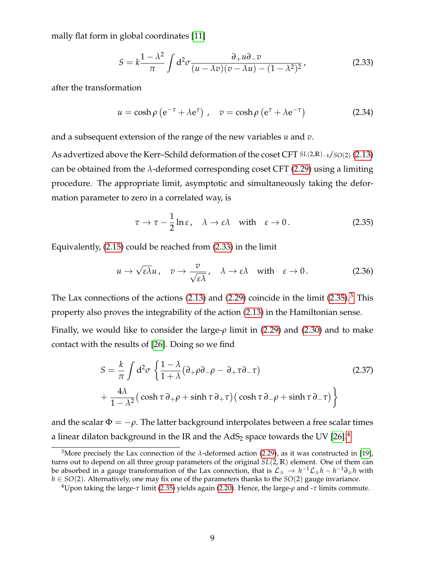mally flat form in global coordinates [\[11\]](#page-21-1)

<span id="page-9-0"></span>
$$
S = k \frac{1 - \lambda^2}{\pi} \int d^2 \sigma \frac{\partial_+ u \partial_- v}{(u - \lambda v)(v - \lambda u) - (1 - \lambda^2)^2},
$$
\n(2.33)

after the transformation

<span id="page-9-5"></span>
$$
u = \cosh \rho \left( e^{-\tau} + \lambda e^{\tau} \right), \quad v = \cosh \rho \left( e^{\tau} + \lambda e^{-\tau} \right) \tag{2.34}
$$

and a subsequent extension of the range of the new variables *u* and *v*.

As advertized above the Kerr–Schild deformation of the coset CFT *SL*(2,**R**)−*k*/*SO*(2) [\(2.13\)](#page-5-1) can be obtained from the *λ*-deformed corresponding coset CFT [\(2.29\)](#page-8-1) using a limiting procedure. The appropriate limit, asymptotic and simultaneously taking the deformation parameter to zero in a correlated way, is

<span id="page-9-1"></span>
$$
\tau \to \tau - \frac{1}{2} \ln \varepsilon, \quad \lambda \to \varepsilon \lambda \quad \text{with} \quad \varepsilon \to 0. \tag{2.35}
$$

Equivalently, [\(2.15\)](#page-5-3) could be reached from [\(2.33\)](#page-9-0) in the limit

<span id="page-9-6"></span>
$$
u \to \sqrt{\varepsilon \lambda} u, \quad v \to \frac{v}{\sqrt{\varepsilon \lambda}}, \quad \lambda \to \varepsilon \lambda \quad \text{with} \quad \varepsilon \to 0. \tag{2.36}
$$

The Lax connections of the actions  $(2.13)$  and  $(2.29)$  coincide in the limit  $(2.35).$  $(2.35).$ <sup>[3](#page-9-2)</sup> This property also proves the integrability of the action [\(2.13\)](#page-5-1) in the Hamiltonian sense.

Finally, we would like to consider the large-*ρ* limit in [\(2.29\)](#page-8-1) and [\(2.30\)](#page-8-2) and to make contact with the results of [\[26\]](#page-22-4). Doing so we find

<span id="page-9-4"></span>
$$
S = \frac{k}{\pi} \int d^2 \sigma \left\{ \frac{1 - \lambda}{1 + \lambda} (\partial_+ \rho \partial_- \rho - \partial_+ \tau \partial_- \tau) \right\}
$$
  
+ 
$$
\frac{4\lambda}{1 - \lambda^2} \left( \cosh \tau \partial_+ \rho + \sinh \tau \partial_+ \tau \right) \left( \cosh \tau \partial_- \rho + \sinh \tau \partial_- \tau \right) \right\}
$$
(2.37)

and the scalar  $\Phi = -\rho$ . The latter background interpolates between a free scalar times a linear dilaton background in the IR and the  $AdS_2$  space towards the UV [\[26\]](#page-22-4).<sup>[4](#page-9-3)</sup>

<span id="page-9-2"></span><sup>&</sup>lt;sup>3</sup>More precisely the Lax connection of the  $\lambda$ -deformed action [\(2.29\)](#page-8-1), as it was constructed in [\[19\]](#page-21-8), turns out to depend on all three group parameters of the original *SL*(2, **R**) element. One of them can be absorbed in a gauge transformation of the Lax connection, that is  $\mathcal{L}_\pm \to h^{-1}\mathcal{L}_\pm h - h^{-1}\partial_\pm h$  with *h* ∈ *SO*(2). Alternatively, one may fix one of the parameters thanks to the *SO*(2) gauge invariance.

<span id="page-9-3"></span><sup>4</sup>Upon taking the large-*τ* limit [\(2.35\)](#page-9-1) yields again [\(2.20\)](#page-7-3). Hence, the large-*ρ* and -*τ* limits commute.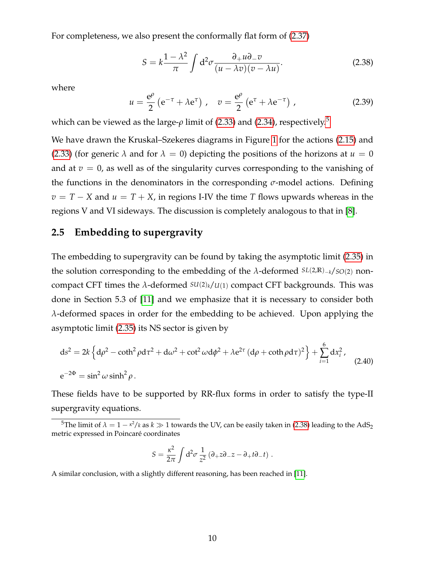For completeness, we also present the conformally flat form of [\(2.37\)](#page-9-4)

<span id="page-10-2"></span>
$$
S = k \frac{1 - \lambda^2}{\pi} \int d^2 \sigma \frac{\partial_+ u \partial_- v}{(u - \lambda v)(v - \lambda u)}.
$$
 (2.38)

where

$$
u = \frac{e^{\rho}}{2} \left( e^{-\tau} + \lambda e^{\tau} \right), \quad v = \frac{e^{\rho}}{2} \left( e^{\tau} + \lambda e^{-\tau} \right), \tag{2.39}
$$

which can be viewed as the large- $\rho$  limit of [\(2.33\)](#page-9-0) and [\(2.34\)](#page-9-5), respectively.<sup>[5](#page-10-1)</sup>

We have drawn the Kruskal–Szekeres diagrams in Figure [1](#page-11-0) for the actions [\(2.15\)](#page-5-3) and [\(2.33\)](#page-9-0) (for generic  $\lambda$  and for  $\lambda = 0$ ) depicting the positions of the horizons at  $u = 0$ and at  $v = 0$ , as well as of the singularity curves corresponding to the vanishing of the functions in the denominators in the corresponding *σ*-model actions. Defining  $v = T - X$  and  $u = T + X$ , in regions I-IV the time *T* flows upwards whereas in the regions V and VI sideways. The discussion is completely analogous to that in [\[8\]](#page-20-6).

#### <span id="page-10-0"></span>**2.5 Embedding to supergravity**

The embedding to supergravity can be found by taking the asymptotic limit [\(2.35\)](#page-9-1) in the solution corresponding to the embedding of the *λ*-deformed *SL*(2,**R**)−*k*/*SO*(2) noncompact CFT times the  $\lambda$ -deformed  $SU(2)_k/U(1)$  compact CFT backgrounds. This was done in Section 5.3 of [\[11\]](#page-21-1) and we emphasize that it is necessary to consider both *λ*-deformed spaces in order for the embedding to be achieved. Upon applying the asymptotic limit [\(2.35\)](#page-9-1) its NS sector is given by

$$
ds^{2} = 2k \left\{ d\rho^{2} - \coth^{2}\rho d\tau^{2} + d\omega^{2} + \cot^{2}\omega d\phi^{2} + \lambda e^{2\tau} (d\rho + \coth\rho d\tau)^{2} \right\} + \sum_{i=1}^{6} dx_{i}^{2},
$$
  
\n
$$
e^{-2\Phi} = \sin^{2}\omega \sinh^{2}\rho.
$$
\n(2.40)

These fields have to be supported by RR-flux forms in order to satisfy the type-II supergravity equations.

$$
S = \frac{\kappa^2}{2\pi} \int d^2 \sigma \frac{1}{z^2} \left( \partial_+ z \partial_- z - \partial_+ t \partial_- t \right) .
$$

A similar conclusion, with a slightly different reasoning, has been reached in [\[11\]](#page-21-1).

<span id="page-10-1"></span><sup>&</sup>lt;sup>5</sup>The limit of  $\lambda = 1 - \kappa^2/k$  as  $k \gg 1$  towards the UV, can be easily taken in [\(2.38\)](#page-10-2) leading to the AdS<sub>2</sub> metric expressed in Poincaré coordinates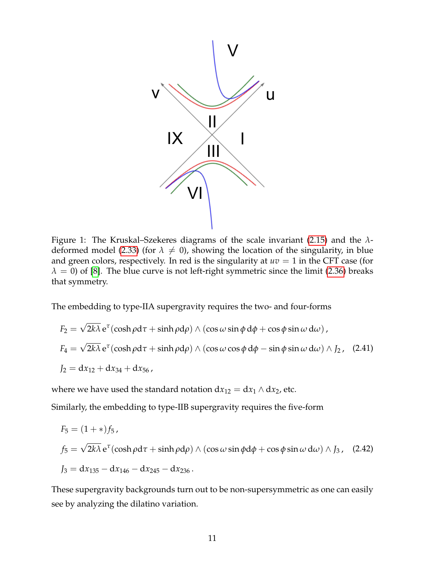

<span id="page-11-0"></span>Figure 1: The Kruskal–Szekeres diagrams of the scale invariant [\(2.15\)](#page-5-3) and the *λ*-deformed model [\(2.33\)](#page-9-0) (for  $\lambda \neq 0$ ), showing the location of the singularity, in blue and green colors, respectively. In red is the singularity at  $uv = 1$  in the CFT case (for  $\lambda = 0$ ) of [\[8\]](#page-20-6). The blue curve is not left-right symmetric since the limit [\(2.36\)](#page-9-6) breaks that symmetry.

The embedding to type-IIA supergravity requires the two- and four-forms

$$
F_2 = \sqrt{2k\lambda} e^{\tau} (\cosh \rho d\tau + \sinh \rho d\rho) \wedge (\cos \omega \sin \phi d\phi + \cos \phi \sin \omega d\omega),
$$
  
\n
$$
F_4 = \sqrt{2k\lambda} e^{\tau} (\cosh \rho d\tau + \sinh \rho d\rho) \wedge (\cos \omega \cos \phi d\phi - \sin \phi \sin \omega d\omega) \wedge J_2, (2.41)
$$
  
\n
$$
J_2 = dx_{12} + dx_{34} + dx_{56},
$$

where we have used the standard notation  $dx_{12} = dx_1 \wedge dx_2$ , etc.

Similarly, the embedding to type-IIB supergravity requires the five-form

$$
F_5 = (1 + *) f_5,
$$
  
\n
$$
f_5 = \sqrt{2k\lambda} e^{\tau} (\cosh \rho d\tau + \sinh \rho d\rho) \wedge (\cos \omega \sin \phi d\phi + \cos \phi \sin \omega d\omega) \wedge J_3, (2.42)
$$
  
\n
$$
J_3 = dx_{135} - dx_{146} - dx_{245} - dx_{236}.
$$

These supergravity backgrounds turn out to be non-supersymmetric as one can easily see by analyzing the dilatino variation.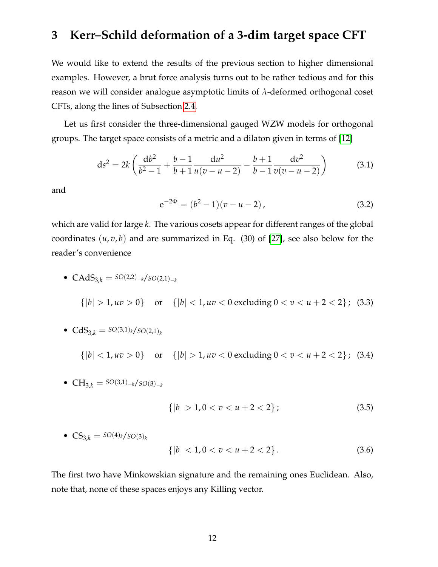### <span id="page-12-0"></span>**3 Kerr–Schild deformation of a 3-dim target space CFT**

We would like to extend the results of the previous section to higher dimensional examples. However, a brut force analysis turns out to be rather tedious and for this reason we will consider analogue asymptotic limits of *λ*-deformed orthogonal coset CFTs, along the lines of Subsection [2.4.](#page-8-0)

Let us first consider the three-dimensional gauged WZW models for orthogonal groups. The target space consists of a metric and a dilaton given in terms of [\[12\]](#page-21-2)

<span id="page-12-1"></span>
$$
ds^{2} = 2k \left( \frac{db^{2}}{b^{2} - 1} + \frac{b - 1}{b + 1} \frac{du^{2}}{u(v - u - 2)} - \frac{b + 1}{b - 1} \frac{dv^{2}}{v(v - u - 2)} \right)
$$
(3.1)

and

<span id="page-12-2"></span>
$$
e^{-2\Phi} = (b^2 - 1)(v - u - 2),
$$
\n(3.2)

which are valid for large *k*. The various cosets appear for different ranges of the global coordinates  $(u, v, b)$  and are summarized in Eq. (30) of [\[27\]](#page-22-5), see also below for the reader's convenience

<span id="page-12-3"></span>• CAdS<sub>3,k</sub> = 
$$
SO(2,2)_{-k}/SO(2,1)_{-k}
$$
  
\n
$$
\{|b| > 1, uv > 0\} \text{ or } \{|b| < 1, uv < 0 \text{ excluding } 0 < v < u + 2 < 2\}; (3.3)
$$

• 
$$
CdS_{3,k} = SO(3,1)_k / SO(2,1)_k
$$

<span id="page-12-4"></span> ${|b| < 1, uv > 0}$  or  ${|b| > 1, uv < 0$  excluding  $0 < v < u + 2 < 2}$ ; (3.4)

• 
$$
CH_{3,k} = SO(3,1)_{-k}/SO(3)_{-k}
$$

<span id="page-12-5"></span>
$$
\{|b| > 1, 0 < v < u + 2 < 2\};\tag{3.5}
$$

• 
$$
CS_{3,k} = SO(4)_k / SO(3)_k
$$

$$
\{|b| < 1, 0 < v < u + 2 < 2\}.\tag{3.6}
$$

The first two have Minkowskian signature and the remaining ones Euclidean. Also, note that, none of these spaces enjoys any Killing vector.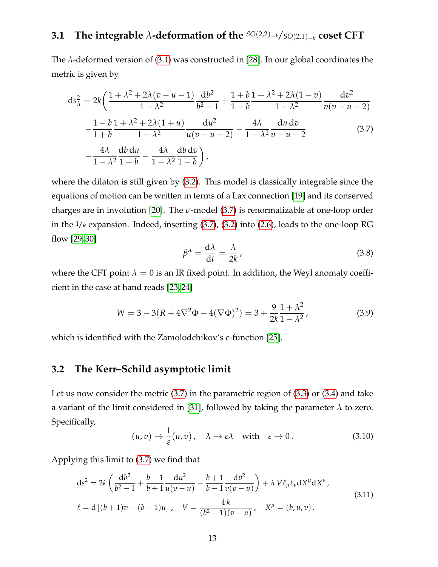### <span id="page-13-0"></span>**3.1 The integrable** *λ***-deformation of the** *SO*(2,2)−*k*/*SO*(2,1)−*<sup>k</sup>* **coset CFT**

The *λ*-deformed version of [\(3.1\)](#page-12-1) was constructed in [\[28\]](#page-22-6). In our global coordinates the metric is given by

<span id="page-13-2"></span>
$$
ds_{\lambda}^{2} = 2k \left( \frac{1 + \lambda^{2} + 2\lambda(v - u - 1)}{1 - \lambda^{2}} \frac{db^{2}}{b^{2} - 1} + \frac{1 + b}{1 - b} \frac{1 + \lambda^{2} + 2\lambda(1 - v)}{1 - \lambda^{2}} \frac{dv^{2}}{v(v - u - 2)} - \frac{1 - b}{1 + b} \frac{1 + \lambda^{2} + 2\lambda(1 + u)}{1 - \lambda^{2}} \frac{du^{2}}{u(v - u - 2)} - \frac{4\lambda}{1 - \lambda^{2}} \frac{du dv}{v - u - 2} - \frac{4\lambda}{1 - \lambda^{2}} \frac{dv dv}{1 + b} - \frac{4\lambda}{1 - \lambda^{2}} \frac{db dv}{1 - b} \right), \tag{3.7}
$$

where the dilaton is still given by [\(3.2\)](#page-12-2). This model is classically integrable since the equations of motion can be written in terms of a Lax connection [\[19\]](#page-21-8) and its conserved charges are in involution [\[20\]](#page-21-9). The  $\sigma$ -model [\(3.7\)](#page-13-2) is renormalizable at one-loop order in the 1/*k* expansion. Indeed, inserting [\(3.7\)](#page-13-2), [\(3.2\)](#page-12-2) into [\(2.6\)](#page-4-1), leads to the one-loop RG flow [\[29,](#page-22-7) [30\]](#page-22-8)

$$
\beta^{\lambda} = \frac{d\lambda}{dt} = \frac{\lambda}{2k},\tag{3.8}
$$

where the CFT point  $\lambda = 0$  is an IR fixed point. In addition, the Weyl anomaly coefficient in the case at hand reads [\[23,](#page-22-1) [24\]](#page-22-2)

$$
W = 3 - 3(R + 4\nabla^2 \Phi - 4(\nabla \Phi)^2) = 3 + \frac{9}{2k} \frac{1 + \lambda^2}{1 - \lambda^2},
$$
\n(3.9)

which is identified with the Zamolodchikov's c-function [\[25\]](#page-22-3).

### <span id="page-13-1"></span>**3.2 The Kerr–Schild asymptotic limit**

Let us now consider the metric [\(3.7\)](#page-13-2) in the parametric region of [\(3.3\)](#page-12-3) or [\(3.4\)](#page-12-4) and take a variant of the limit considered in [\[31\]](#page-22-9), followed by taking the parameter *λ* to zero. Specifically,

$$
(u,v) \to \frac{1}{\varepsilon}(u,v), \quad \lambda \to \varepsilon\lambda \quad \text{with} \quad \varepsilon \to 0. \tag{3.10}
$$

Applying this limit to [\(3.7\)](#page-13-2) we find that

<span id="page-13-3"></span>
$$
ds^{2} = 2k \left( \frac{db^{2}}{b^{2} - 1} + \frac{b - 1}{b + 1} \frac{du^{2}}{u(v - u)} - \frac{b + 1}{b - 1} \frac{dv^{2}}{v(v - u)} \right) + \lambda V \ell_{\mu} \ell_{\nu} dX^{\mu} dX^{\nu},
$$
  
\n
$$
\ell = d [(b + 1)v - (b - 1)u], \quad V = \frac{4k}{(b^{2} - 1)(v - u)}, \quad X^{\mu} = (b, u, v).
$$
\n(3.11)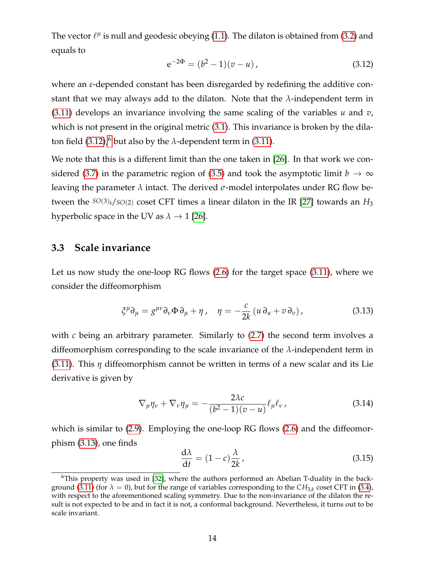The vector  $\ell^{\mu}$  is null and geodesic obeying [\(1.1\)](#page-1-1). The dilaton is obtained from [\(3.2\)](#page-12-2) and equals to

<span id="page-14-1"></span>
$$
e^{-2\Phi} = (b^2 - 1)(v - u), \tag{3.12}
$$

where an *ε*-depended constant has been disregarded by redefining the additive constant that we may always add to the dilaton. Note that the *λ*-independent term in [\(3.11\)](#page-13-3) develops an invariance involving the same scaling of the variables *u* and *v*, which is not present in the original metric [\(3.1\)](#page-12-1). This invariance is broken by the dila-ton field [\(3.12\)](#page-14-1),<sup>[6](#page-14-2)</sup> but also by the  $\lambda$ -dependent term in [\(3.11\)](#page-13-3).

We note that this is a different limit than the one taken in [\[26\]](#page-22-4). In that work we con-sidered [\(3.7\)](#page-13-2) in the parametric region of [\(3.5\)](#page-12-5) and took the asymptotic limit  $b \to \infty$ leaving the parameter *λ* intact. The derived *σ*-model interpolates under RG flow between the  $SO(3)_k/SO(2)$  coset CFT times a linear dilaton in the IR [\[27\]](#page-22-5) towards an  $H_3$ hyperbolic space in the UV as  $\lambda \rightarrow 1$  [\[26\]](#page-22-4).

### <span id="page-14-0"></span>**3.3 Scale invariance**

Let us now study the one-loop RG flows [\(2.6\)](#page-4-1) for the target space [\(3.11\)](#page-13-3), where we consider the diffeomorphism

<span id="page-14-3"></span>
$$
\xi^{\mu}\partial_{\mu} = g^{\mu\nu}\partial_{\nu}\Phi\,\partial_{\mu} + \eta\,, \quad \eta = -\frac{c}{2k}\left(u\,\partial_{u} + v\,\partial_{v}\right),\tag{3.13}
$$

with *c* being an arbitrary parameter. Similarly to  $(2.7)$  the second term involves a diffeomorphism corresponding to the scale invariance of the *λ*-independent term in [\(3.11\)](#page-13-3). This *η* diffeomorphism cannot be written in terms of a new scalar and its Lie derivative is given by

$$
\nabla_{\mu}\eta_{\nu} + \nabla_{\nu}\eta_{\mu} = -\frac{2\lambda c}{(b^2 - 1)(v - u)}\ell_{\mu}\ell_{\nu},
$$
\n(3.14)

which is similar to [\(2.9\)](#page-4-5). Employing the one-loop RG flows [\(2.6\)](#page-4-1) and the diffeomorphism [\(3.13\)](#page-14-3), one finds

<span id="page-14-4"></span>
$$
\frac{d\lambda}{dt} = (1 - c)\frac{\lambda}{2k},\tag{3.15}
$$

<span id="page-14-2"></span> $6$ This property was used in [\[32\]](#page-22-10), where the authors performed an Abelian T-duality in the back-ground [\(3.11\)](#page-13-3) (for  $\lambda = 0$ ), but for the range of variables corresponding to the  $CH_{3,k}$  coset CFT in [\(3.4\)](#page-12-4), with respect to the aforementioned scaling symmetry. Due to the non-invariance of the dilaton the result is not expected to be and in fact it is not, a conformal background. Nevertheless, it turns out to be scale invariant.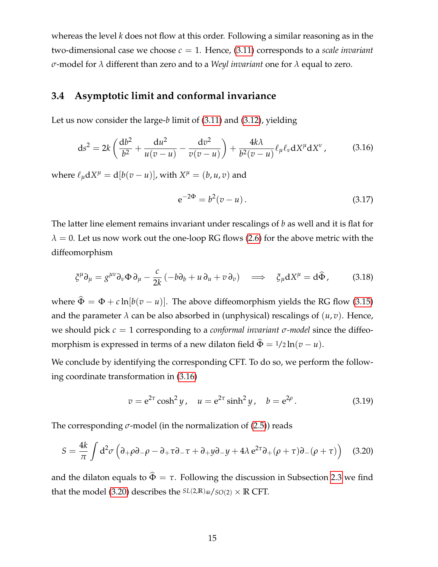whereas the level *k* does not flow at this order. Following a similar reasoning as in the two-dimensional case we choose  $c = 1$ . Hence, [\(3.11\)](#page-13-3) corresponds to a *scale invariant σ*-model for *λ* different than zero and to a *Weyl invariant* one for *λ* equal to zero.

### <span id="page-15-0"></span>**3.4 Asymptotic limit and conformal invariance**

<span id="page-15-1"></span>Let us now consider the large-*b* limit of [\(3.11\)](#page-13-3) and [\(3.12\)](#page-14-1), yielding

$$
ds^{2} = 2k \left( \frac{db^{2}}{b^{2}} + \frac{du^{2}}{u(v-u)} - \frac{dv^{2}}{v(v-u)} \right) + \frac{4k\lambda}{b^{2}(v-u)} \ell_{\mu} \ell_{\nu} dX^{\mu} dX^{\nu}, \qquad (3.16)
$$

where  $\ell_{\mu} dX^{\mu} = d[b(v - u)]$ , with  $X^{\mu} = (b, u, v)$  and

$$
e^{-2\Phi} = b^2(v - u). \tag{3.17}
$$

The latter line element remains invariant under rescalings of *b* as well and it is flat for  $\lambda = 0$ . Let us now work out the one-loop RG flows [\(2.6\)](#page-4-1) for the above metric with the diffeomorphism

$$
\xi^{\mu}\partial_{\mu} = g^{\mu\nu}\partial_{\nu}\Phi\,\partial_{\mu} - \frac{c}{2k}\left(-b\partial_{b} + u\,\partial_{u} + v\,\partial_{v}\right) \implies \xi_{\mu}\mathrm{d}X^{\mu} = \mathrm{d}\widehat{\Phi},\tag{3.18}
$$

where  $\hat{\Phi} = \Phi + c \ln[b(v - u)]$ . The above diffeomorphism yields the RG flow [\(3.15\)](#page-14-4) and the parameter  $\lambda$  can be also absorbed in (unphysical) rescalings of  $(u, v)$ . Hence, we should pick *c* = 1 corresponding to a *conformal invariant σ-model* since the diffeomorphism is expressed in terms of a new dilaton field  $\hat{\Phi} = 1/2 \ln(v - u)$ .

We conclude by identifying the corresponding CFT. To do so, we perform the following coordinate transformation in [\(3.16\)](#page-15-1)

$$
v = e^{2\tau} \cosh^2 y
$$
,  $u = e^{2\tau} \sinh^2 y$ ,  $b = e^{2\rho}$ . (3.19)

The corresponding  $\sigma$ -model (in the normalization of [\(2.5\)](#page-4-4)) reads

<span id="page-15-2"></span>
$$
S = \frac{4k}{\pi} \int d^2 \sigma \left( \partial_+ \rho \partial_- \rho - \partial_+ \tau \partial_- \tau + \partial_+ y \partial_- y + 4\lambda \, e^{2\tau} \partial_+ (\rho + \tau) \partial_- (\rho + \tau) \right) \tag{3.20}
$$

and the dilaton equals to  $\hat{\Phi} = \tau$ . Following the discussion in Subsection [2.3](#page-7-0) we find that the model [\(3.20\)](#page-15-2) describes the  $SL(2,\mathbb{R})_{4k}/SO(2) \times \mathbb{R}$  CFT.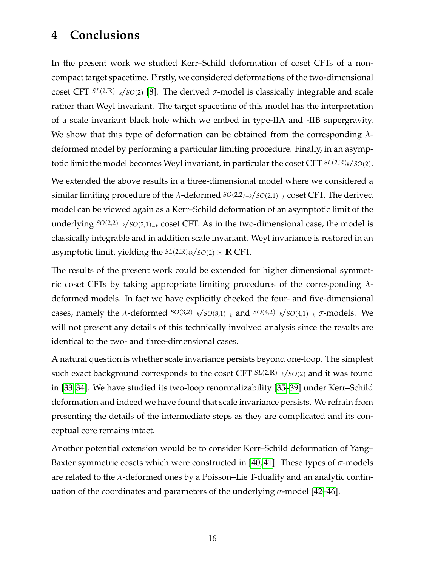## <span id="page-16-0"></span>**4 Conclusions**

In the present work we studied Kerr–Schild deformation of coset CFTs of a noncompact target spacetime. Firstly, we considered deformations of the two-dimensional coset CFT *SL*(2,**R**)−*k*/*SO*(2) [\[8\]](#page-20-6). The derived *σ*-model is classically integrable and scale rather than Weyl invariant. The target spacetime of this model has the interpretation of a scale invariant black hole which we embed in type-IIA and -IIB supergravity. We show that this type of deformation can be obtained from the corresponding *λ*deformed model by performing a particular limiting procedure. Finally, in an asymptotic limit the model becomes Weyl invariant, in particular the coset CFT *SL*(2,**R**)*k*/*SO*(2).

We extended the above results in a three-dimensional model where we considered a similar limiting procedure of the *λ*-deformed *SO*(2,2)−*k*/*SO*(2,1)−*<sup>k</sup>* coset CFT. The derived model can be viewed again as a Kerr–Schild deformation of an asymptotic limit of the underlying *SO*(2,2)−*k*/*SO*(2,1)−*<sup>k</sup>* coset CFT. As in the two-dimensional case, the model is classically integrable and in addition scale invariant. Weyl invariance is restored in an asymptotic limit, yielding the  $SL(2,\mathbb{R})$ <sub>4k</sub>/ $SO(2) \times \mathbb{R}$  CFT.

The results of the present work could be extended for higher dimensional symmetric coset CFTs by taking appropriate limiting procedures of the corresponding *λ*deformed models. In fact we have explicitly checked the four- and five-dimensional cases, namely the *λ*-deformed  $SO(3,2)_{-k}/SO(3,1)_{-k}$  and  $SO(4,2)_{-k}/SO(4,1)_{-k}$  *σ*-models. We will not present any details of this technically involved analysis since the results are identical to the two- and three-dimensional cases.

A natural question is whether scale invariance persists beyond one-loop. The simplest such exact background corresponds to the coset CFT *SL*(2,**R**)−*k*/*SO*(2) and it was found in [\[33,](#page-22-11) [34\]](#page-22-12). We have studied its two-loop renormalizability [\[35](#page-23-0)[–39\]](#page-23-1) under Kerr–Schild deformation and indeed we have found that scale invariance persists. We refrain from presenting the details of the intermediate steps as they are complicated and its conceptual core remains intact.

Another potential extension would be to consider Kerr–Schild deformation of Yang– Baxter symmetric cosets which were constructed in [\[40,](#page-23-2) [41\]](#page-23-3). These types of *σ*-models are related to the *λ*-deformed ones by a Poisson–Lie T-duality and an analytic continuation of the coordinates and parameters of the underlying *σ*-model [\[42–](#page-23-4)[46\]](#page-23-5).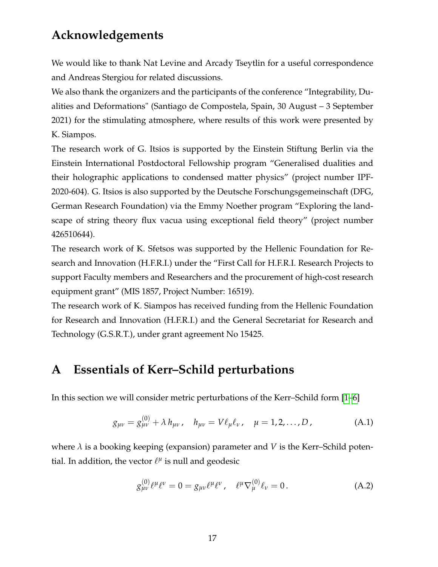# **Acknowledgements**

We would like to thank Nat Levine and Arcady Tseytlin for a useful correspondence and Andreas Stergiou for related discussions.

We also thank the organizers and the participants of the conference "Integrability, Dualities and Deformations" (Santiago de Compostela, Spain, 30 August – 3 September 2021) for the stimulating atmosphere, where results of this work were presented by K. Siampos.

The research work of G. Itsios is supported by the Einstein Stiftung Berlin via the Einstein International Postdoctoral Fellowship program "Generalised dualities and their holographic applications to condensed matter physics" (project number IPF-2020-604). G. Itsios is also supported by the Deutsche Forschungsgemeinschaft (DFG, German Research Foundation) via the Emmy Noether program "Exploring the landscape of string theory flux vacua using exceptional field theory" (project number 426510644).

The research work of K. Sfetsos was supported by the Hellenic Foundation for Research and Innovation (H.F.R.I.) under the "First Call for H.F.R.I. Research Projects to support Faculty members and Researchers and the procurement of high-cost research equipment grant" (MIS 1857, Project Number: 16519).

The research work of K. Siampos has received funding from the Hellenic Foundation for Research and Innovation (H.F.R.I.) and the General Secretariat for Research and Technology (G.S.R.T.), under grant agreement No 15425.

# <span id="page-17-0"></span>**A Essentials of Kerr–Schild perturbations**

In this section we will consider metric perturbations of the Kerr–Schild form [\[1](#page-20-0)[–6\]](#page-20-1)

<span id="page-17-1"></span>
$$
g_{\mu\nu} = g_{\mu\nu}^{(0)} + \lambda h_{\mu\nu}, \quad h_{\mu\nu} = V \ell_{\mu} \ell_{\nu}, \quad \mu = 1, 2, ..., D,
$$
 (A.1)

where  $\lambda$  is a booking keeping (expansion) parameter and *V* is the Kerr–Schild potential. In addition, the vector  $\ell^{\mu}$  is null and geodesic

<span id="page-17-2"></span>
$$
g_{\mu\nu}^{(0)} \ell^{\mu} \ell^{\nu} = 0 = g_{\mu\nu} \ell^{\mu} \ell^{\nu}, \quad \ell^{\mu} \nabla_{\mu}^{(0)} \ell_{\nu} = 0.
$$
 (A.2)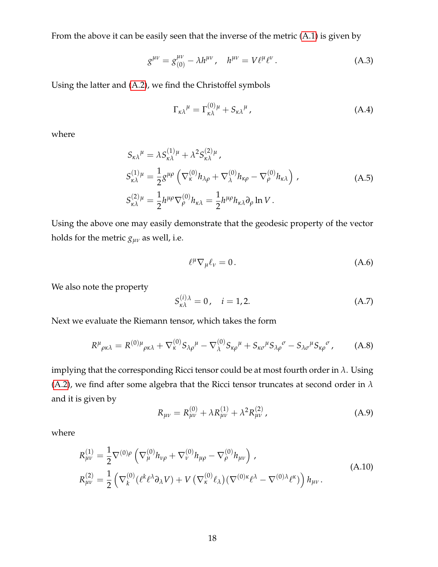From the above it can be easily seen that the inverse of the metric [\(A.1\)](#page-17-1) is given by

$$
g^{\mu\nu} = g_{(0)}^{\mu\nu} - \lambda h^{\mu\nu}, \quad h^{\mu\nu} = V \ell^{\mu} \ell^{\nu}.
$$
 (A.3)

Using the latter and [\(A.2\)](#page-17-2), we find the Christoffel symbols

$$
\Gamma_{\kappa\lambda}{}^{\mu} = \Gamma_{\kappa\lambda}^{(0)}{}^{\mu} + S_{\kappa\lambda}{}^{\mu} \,, \tag{A.4}
$$

where

$$
S_{\kappa\lambda}{}^{\mu} = \lambda S_{\kappa\lambda}^{(1)\mu} + \lambda^2 S_{\kappa\lambda}^{(2)\mu},
$$
  
\n
$$
S_{\kappa\lambda}^{(1)\mu} = \frac{1}{2} g^{\mu\rho} \left( \nabla_{\kappa}^{(0)} h_{\lambda\rho} + \nabla_{\lambda}^{(0)} h_{\kappa\rho} - \nabla_{\rho}^{(0)} h_{\kappa\lambda} \right),
$$
  
\n
$$
S_{\kappa\lambda}^{(2)\mu} = \frac{1}{2} h^{\mu\rho} \nabla_{\rho}^{(0)} h_{\kappa\lambda} = \frac{1}{2} h^{\mu\rho} h_{\kappa\lambda} \partial_{\rho} \ln V.
$$
\n(A.5)

Using the above one may easily demonstrate that the geodesic property of the vector holds for the metric  $g_{\mu\nu}$  as well, i.e.

$$
\ell^{\mu}\nabla_{\mu}\ell_{\nu}=0.\tag{A.6}
$$

We also note the property

$$
S_{\kappa\lambda}^{(i)\lambda} = 0, \quad i = 1, 2. \tag{A.7}
$$

Next we evaluate the Riemann tensor, which takes the form

$$
R^{\mu}{}_{\rho\kappa\lambda} = R^{(0)\mu}{}_{\rho\kappa\lambda} + \nabla_{\kappa}^{(0)} S_{\lambda\rho}{}^{\mu} - \nabla_{\lambda}^{(0)} S_{\kappa\rho}{}^{\mu} + S_{\kappa\sigma}{}^{\mu} S_{\lambda\rho}{}^{\sigma} - S_{\lambda\sigma}{}^{\mu} S_{\kappa\rho}{}^{\sigma}, \tag{A.8}
$$

implying that the corresponding Ricci tensor could be at most fourth order in *λ*. Using [\(A.2\)](#page-17-2), we find after some algebra that the Ricci tensor truncates at second order in *λ* and it is given by

$$
R_{\mu\nu} = R_{\mu\nu}^{(0)} + \lambda R_{\mu\nu}^{(1)} + \lambda^2 R_{\mu\nu}^{(2)}, \tag{A.9}
$$

where

$$
R_{\mu\nu}^{(1)} = \frac{1}{2} \nabla^{(0)\rho} \left( \nabla_{\mu}^{(0)} h_{\nu\rho} + \nabla_{\nu}^{(0)} h_{\mu\rho} - \nabla_{\rho}^{(0)} h_{\mu\nu} \right),
$$
  
\n
$$
R_{\mu\nu}^{(2)} = \frac{1}{2} \left( \nabla_{k}^{(0)} (\ell^{k} \ell^{\lambda} \partial_{\lambda} V) + V \left( \nabla_{\kappa}^{(0)} \ell_{\lambda} \right) (\nabla^{(0)\kappa} \ell^{\lambda} - \nabla^{(0)\lambda} \ell^{\kappa}) \right) h_{\mu\nu}.
$$
\n(A.10)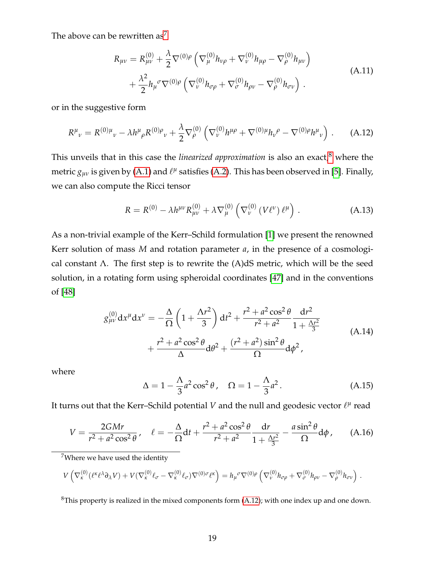The above can be rewritten  $as^7$  $as^7$ 

$$
R_{\mu\nu} = R_{\mu\nu}^{(0)} + \frac{\lambda}{2} \nabla^{(0)\rho} \left( \nabla_{\mu}^{(0)} h_{\nu\rho} + \nabla_{\nu}^{(0)} h_{\mu\rho} - \nabla_{\rho}^{(0)} h_{\mu\nu} \right) + \frac{\lambda^2}{2} h_{\mu}{}^{\sigma} \nabla^{(0)\rho} \left( \nabla_{\nu}^{(0)} h_{\sigma\rho} + \nabla_{\sigma}^{(0)} h_{\rho\nu} - \nabla_{\rho}^{(0)} h_{\sigma\nu} \right).
$$
(A.11)

or in the suggestive form

<span id="page-19-2"></span>
$$
R^{\mu}{}_{\nu} = R^{(0)\mu}{}_{\nu} - \lambda h^{\mu}{}_{\rho} R^{(0)\rho}{}_{\nu} + \frac{\lambda}{2} \nabla^{(0)}_{\rho} \left( \nabla^{(0)}_{\nu} h^{\mu \rho} + \nabla^{(0)\mu} h_{\nu}{}^{\rho} - \nabla^{(0)\rho} h^{\mu}{}_{\nu} \right) . \tag{A.12}
$$

This unveils that in this case the *linearized approximation* is also an exact,<sup>[8](#page-19-1)</sup> where the metric  $g_{\mu\nu}$  is given by [\(A.1\)](#page-17-1) and  $\ell^{\mu}$  satisfies [\(A.2\)](#page-17-2). This has been observed in [\[5\]](#page-20-5). Finally, we can also compute the Ricci tensor

$$
R = R^{(0)} - \lambda h^{\mu\nu} R^{(0)}_{\mu\nu} + \lambda \nabla^{(0)}_{\mu} \left( \nabla^{(0)}_{\nu} \left( V \ell^{\nu} \right) \ell^{\mu} \right) . \tag{A.13}
$$

As a non-trivial example of the Kerr–Schild formulation [\[1\]](#page-20-0) we present the renowned Kerr solution of mass *M* and rotation parameter *a*, in the presence of a cosmological constant Λ. The first step is to rewrite the  $(A)dS$  metric, which will be the seed solution, in a rotating form using spheroidal coordinates [\[47\]](#page-23-6) and in the conventions of [\[48\]](#page-24-0)

$$
g_{\mu\nu}^{(0)} dx^{\mu} dx^{\nu} = -\frac{\Delta}{\Omega} \left( 1 + \frac{\Lambda r^2}{3} \right) dt^2 + \frac{r^2 + a^2 \cos^2 \theta}{r^2 + a^2} \frac{dr^2}{1 + \frac{\Lambda r^2}{3}} + \frac{r^2 + a^2 \cos^2 \theta}{\Delta} d\theta^2 + \frac{(r^2 + a^2) \sin^2 \theta}{\Omega} d\phi^2,
$$
\n(A.14)

where

$$
\Delta = 1 - \frac{\Lambda}{3}a^2 \cos^2 \theta, \quad \Omega = 1 - \frac{\Lambda}{3}a^2. \tag{A.15}
$$

It turns out that the Kerr–Schild potential  $V$  and the null and geodesic vector  $\ell^\mu$  read

$$
V = \frac{2GMr}{r^2 + a^2 \cos^2 \theta}, \quad \ell = -\frac{\Delta}{\Omega} dt + \frac{r^2 + a^2 \cos^2 \theta}{r^2 + a^2} \frac{dr}{1 + \frac{\Delta r^2}{3}} - \frac{a \sin^2 \theta}{\Omega} d\phi, \quad (A.16)
$$

<span id="page-19-0"></span><sup>7</sup>Where we have used the identity

$$
V\left(\nabla_{\kappa}^{(0)}(\ell^{\kappa}\ell^{\lambda}\partial_{\lambda}V)+V(\nabla_{\kappa}^{(0)}\ell_{\sigma}-\nabla_{\kappa}^{(0)}\ell_{\sigma})\nabla^{(0)\sigma}\ell^{\kappa}\right)=h_{\mu}{}^{\sigma}\nabla^{(0)}{}^{\rho}\left(\nabla_{\nu}^{(0)}h_{\sigma\rho}+\nabla_{\sigma}^{(0)}h_{\rho\nu}-\nabla_{\rho}^{(0)}h_{\sigma\nu}\right).
$$

<span id="page-19-1"></span> ${}^{8}$ This property is realized in the mixed components form [\(A.12\)](#page-19-2); with one index up and one down.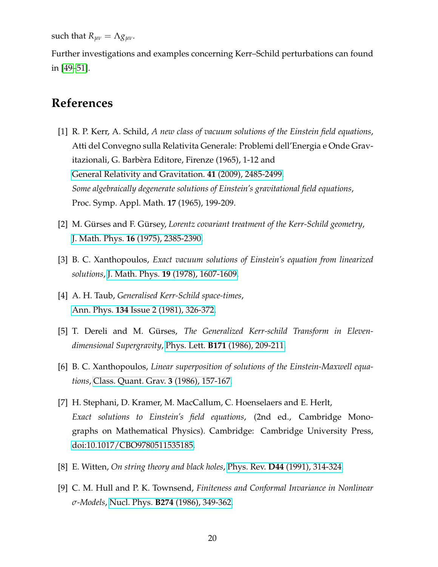such that  $R_{uv} = \Lambda g_{uv}$ .

Further investigations and examples concerning Kerr–Schild perturbations can found in [\[49](#page-24-1)[–51\]](#page-24-2).

## **References**

- <span id="page-20-0"></span>[1] R. P. Kerr, A. Schild, *A new class of vacuum solutions of the Einstein field equations*, Atti del Convegno sulla Relativita Generale: Problemi dell'Energia e Onde Gravitazionali, G. Barbèra Editore, Firenze (1965), 1-12 and [General Relativity and Gravitation.](https://link.springer.com/article/10.1007/s10714-009-0857-z) **41** (2009), 2485-2499. *Some algebraically degenerate solutions of Einstein's gravitational field equations*, Proc. Symp. Appl. Math. **17** (1965), 199-209.
- [2] M. Gürses and F. Gürsey, *Lorentz covariant treatment of the Kerr-Schild geometry*, J. Math. Phys. **16** [\(1975\), 2385-2390.](https://aip.scitation.org/doi/10.1063/1.522480)
- <span id="page-20-3"></span>[3] B. C. Xanthopoulos, *Exact vacuum solutions of Einstein's equation from linearized solutions*, J. Math. Phys. **19** [\(1978\), 1607-1609.](https://aip.scitation.org/doi/pdf/10.1063/1.523851)
- <span id="page-20-4"></span>[4] A. H. Taub, *Generalised Kerr-Schild space-times*, Ann. Phys. **134** [Issue 2 \(1981\), 326-372.](https://www.sciencedirect.com/science/article/pii/000349168190213X)
- <span id="page-20-5"></span>[5] T. Dereli and M. Gürses, *The Generalized Kerr-schild Transform in Elevendimensional Supergravity*, Phys. Lett. **B171** [\(1986\), 209-211.](https://linkinghub.elsevier.com/retrieve/pii/0370269386915339)
- <span id="page-20-1"></span>[6] B. C. Xanthopoulos, *Linear superposition of solutions of the Einstein-Maxwell equations*, [Class. Quant. Grav.](https://iopscience.iop.org/article/10.1088/0264-9381/3/2/009) **3** (1986), 157-167.
- <span id="page-20-2"></span>[7] H. Stephani, D. Kramer, M. MacCallum, C. Hoenselaers and E. Herlt, *Exact solutions to Einstein's field equations*, (2nd ed., Cambridge Monographs on Mathematical Physics). Cambridge: Cambridge University Press, [doi:10.1017/CBO9780511535185.](https://doi.org/10.1017/CBO9780511535185)
- <span id="page-20-6"></span>[8] E. Witten, *On string theory and black holes*, Phys. Rev. **D44** [\(1991\), 314-324.](https://journals.aps.org/prd/abstract/10.1103/PhysRevD.44.314)
- <span id="page-20-7"></span>[9] C. M. Hull and P. K. Townsend, *Finiteness and Conformal Invariance in Nonlinear σ-Models*, Nucl. Phys. **B274** [\(1986\), 349-362.](https://www.sciencedirect.com/science/article/pii/0550321386902890?via%3Dihub)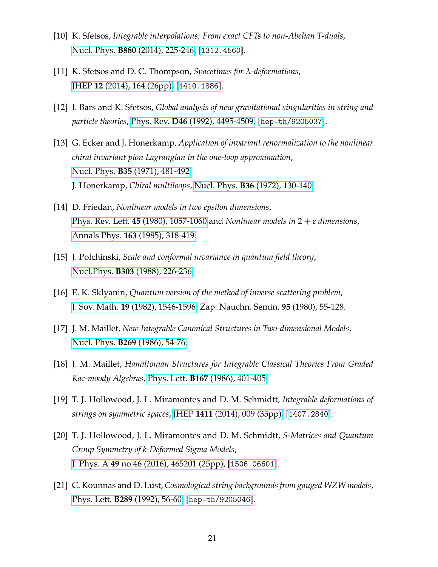- <span id="page-21-0"></span>[10] K. Sfetsos, *Integrable interpolations: From exact CFTs to non-Abelian T-duals*, Nucl. Phys. **B880** [\(2014\), 225-246,](https://www.sciencedirect.com/science/article/pii/S0550321314000066?via%3Dihub) [[1312.4560](http://arxiv.org/abs/1312.4560)].
- <span id="page-21-1"></span>[11] K. Sfetsos and D. C. Thompson, *Spacetimes for λ-deformations*, JHEP **12** [\(2014\), 164 \(26pp\),](https://link.springer.com/article/10.1007/JHEP12(2014)164) [[1410.1886](https://arxiv.org/abs/1410.1886)].
- <span id="page-21-2"></span>[12] I. Bars and K. Sfetsos, *Global analysis of new gravitational singularities in string and particle theories*, Phys. Rev. **D46** [\(1992\), 4495-4509,](https://journals.aps.org/prd/abstract/10.1103/PhysRevD.46.4495) [[hep-th/9205037](https://arxiv.org/abs/hep-th/9205037)].
- <span id="page-21-3"></span>[13] G. Ecker and J. Honerkamp, *Application of invariant renormalization to the nonlinear chiral invariant pion Lagrangian in the one-loop approximation*, Nucl. Phys. **B35** [\(1971\), 481-492.](http://www.sciencedirect.com/science/article/pii/0550321371904688) J. Honerkamp, *Chiral multiloops*, Nucl. Phys. **B36** [\(1972\), 130-140.](http://www.sciencedirect.com/science/article/pii/0550321372902994)
- <span id="page-21-4"></span>[14] D. Friedan, *Nonlinear models in two epsilon dimensions*, Phys. Rev. Lett. **45** [\(1980\), 1057-1060](http://journals.aps.org/prl/abstract/10.1103/PhysRevLett.45.1057) and *Nonlinear models in* 2 + *ε dimensions*, Annals Phys. **163** [\(1985\), 318-419.](http://www.sciencedirect.com/science/article/pii/0003491685903847)
- <span id="page-21-5"></span>[15] J. Polchinski, *Scale and conformal invariance in quantum field theory*, Nucl.Phys. **B303** [\(1988\), 226-236.](https://www.sciencedirect.com/science/article/pii/0550321388901794)
- <span id="page-21-6"></span>[16] E. K. Sklyanin, *Quantum version of the method of inverse scattering problem*, J. Sov. Math. **19** [\(1982\), 1546-1596,](http://link.springer.com/article/10.1007%2FBF01091462) Zap. Nauchn. Semin. **95** (1980), 55-128.
- [17] J. M. Maillet, *New Integrable Canonical Structures in Two-dimensional Models*, Nucl. Phys. **B269** [\(1986\), 54-76.](http://www.sciencedirect.com/science/article/pii/0550321386903652)
- <span id="page-21-7"></span>[18] J. M. Maillet, *Hamiltonian Structures for Integrable Classical Theories From Graded Kac-moody Algebras*, Phys. Lett. **B167** [\(1986\), 401-405.](http://www.sciencedirect.com/science/article/pii/037026938691289X)
- <span id="page-21-8"></span>[19] T. J. Hollowood, J. L. Miramontes and D. M. Schmidtt, *Integrable deformations of strings on symmetric spaces*, JHEP **1411** [\(2014\), 009 \(35pp\),](https://link.springer.com/article/10.1007%2FJHEP11%282014%29009) [[1407.2840](http://arxiv.org/abs/1407.2840)].
- <span id="page-21-9"></span>[20] T. J. Hollowood, J. L. Miramontes and D. M. Schmidtt, *S-Matrices and Quantum Group Symmetry of k-Deformed Sigma Models*, J. Phys. A **49** [no.46 \(2016\), 465201 \(25pp\),](https://iopscience.iop.org/article/10.1088/1751-8113/49/46/465201) [[1506.06601](https://arxiv.org/abs/1506.06601)].
- <span id="page-21-10"></span>[21] C. Kounnas and D. Lüst, *Cosmological string backgrounds from gauged WZW models*, Phys. Lett. **B289** [\(1992\), 56-60,](https://www.sciencedirect.com/science/article/abs/pii/037026939291361C?via%3Dihub) [[hep-th/9205046](https://arxiv.org/abs/hep-th/9205046)].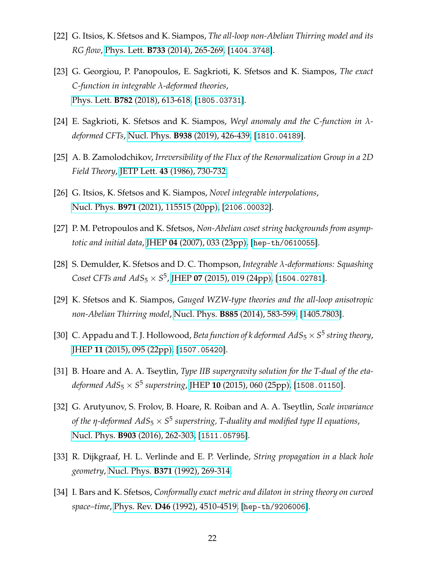- <span id="page-22-0"></span>[22] G. Itsios, K. Sfetsos and K. Siampos, *The all-loop non-Abelian Thirring model and its RG flow*, Phys. Lett. **B733** [\(2014\), 265-269,](https://www.sciencedirect.com/science/article/pii/S0370269314003037?via%3Dihub) [[1404.3748](https://arxiv.org/abs/1404.3748)].
- <span id="page-22-1"></span>[23] G. Georgiou, P. Panopoulos, E. Sagkrioti, K. Sfetsos and K. Siampos, *The exact C-function in integrable λ-deformed theories*, Phys. Lett. **B782** [\(2018\), 613-618,](https://www.sciencedirect.com/science/article/pii/S0370269318304714?via%3Dihub) [[1805.03731](https://arxiv.org/abs/1805.03731)].
- <span id="page-22-2"></span>[24] E. Sagkrioti, K. Sfetsos and K. Siampos, *Weyl anomaly and the C-function in λdeformed CFTs*, Nucl. Phys. **B938** [\(2019\), 426-439,](https://www.sciencedirect.com/science/article/pii/S0550321318303407?via%3Dihub) [[1810.04189](https://arxiv.org/abs/1810.04189)].
- <span id="page-22-3"></span>[25] A. B. Zamolodchikov, *Irreversibility of the Flux of the Renormalization Group in a 2D Field Theory*, JETP Lett. **43** [\(1986\), 730-732.](http://www.jetpletters.ac.ru/ps/1413/article_21504.shtml)
- <span id="page-22-4"></span>[26] G. Itsios, K. Sfetsos and K. Siampos, *Novel integrable interpolations*, Nucl. Phys. **B971** [\(2021\), 115515 \(20pp\),](https://www.sciencedirect.com/science/article/pii/S0550321321002121) [[2106.00032](https://arxiv.org/abs/2106.00032)].
- <span id="page-22-5"></span>[27] P. M. Petropoulos and K. Sfetsos, *Non-Abelian coset string backgrounds from asymptotic and initial data*, JHEP **04** [\(2007\), 033 \(23pp\),](https://iopscience.iop.org/article/10.1088/1126-6708/2007/04/033) [[hep-th/0610055](https://arxiv.org/abs/hep-th/0610055)].
- <span id="page-22-6"></span>[28] S. Demulder, K. Sfetsos and D. C. Thompson, *Integrable λ-deformations: Squashing Coset CFTs and*  $AdS_5 \times S^5$ *, JHEP 07 [\(2015\), 019 \(24pp\),](https://link.springer.com/article/10.1007%2FJHEP07%282015%29019) [[1504.02781](https://arxiv.org/abs/1504.02781)].*
- <span id="page-22-7"></span>[29] K. Sfetsos and K. Siampos, *Gauged WZW-type theories and the all-loop anisotropic non-Abelian Thirring model*, Nucl. Phys. **B885** [\(2014\), 583-599,](https://www.sciencedirect.com/science/article/pii/S0550321314001953?via%3Dihub) [\[1405.7803\]](https://arxiv.org/abs/1405.7803).
- <span id="page-22-8"></span>[30] C. Appadu and T. J. Hollowood, *Beta function of k deformed*  $AdS_5 \times S^5$  *string theory*, JHEP **11** [\(2015\), 095 \(22pp\),](https://link.springer.com/article/10.1007%2FJHEP11%282015%29095) [[1507.05420](https://arxiv.org/abs/1507.05420)].
- <span id="page-22-9"></span>[31] B. Hoare and A. A. Tseytlin, *Type IIB supergravity solution for the T-dual of the etadeformed AdS*<sup>5</sup> × *S* 5 *superstring*, JHEP **10** [\(2015\), 060 \(25pp\),](https://link.springer.com/article/10.1007%2FJHEP10%282015%29060) [[1508.01150](https://arxiv.org/abs/1508.01150)].
- <span id="page-22-10"></span>[32] G. Arutyunov, S. Frolov, B. Hoare, R. Roiban and A. A. Tseytlin, *Scale invariance of the η-deformed AdS*<sup>5</sup> × *S* 5 *superstring, T-duality and modified type II equations*, Nucl. Phys. **B903** [\(2016\), 262-303,](https://www.sciencedirect.com/science/article/pii/S0550321315004320?via%3Dihub) [[1511.05795](https://arxiv.org/abs/1511.05795)].
- <span id="page-22-11"></span>[33] R. Dijkgraaf, H. L. Verlinde and E. P. Verlinde, *String propagation in a black hole geometry*, Nucl. Phys. **B371** [\(1992\), 269-314.](https://linkinghub.elsevier.com/retrieve/pii/0550321392902376)
- <span id="page-22-12"></span>[34] I. Bars and K. Sfetsos, *Conformally exact metric and dilaton in string theory on curved space–time*, Phys. Rev. **D46** [\(1992\), 4510-4519,](https://journals.aps.org/prd/abstract/10.1103/PhysRevD.46.4510) [[hep-th/9206006](https://arxiv.org/abs/hep-th/9206006)].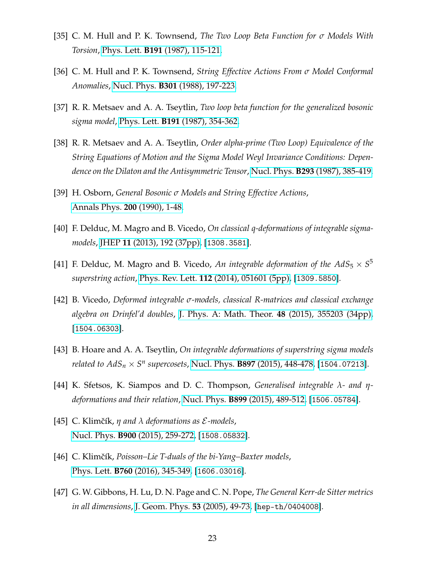- <span id="page-23-0"></span>[35] C. M. Hull and P. K. Townsend, *The Two Loop Beta Function for σ Models With Torsion*, Phys. Lett. **B191** [\(1987\), 115-121.](https://www.sciencedirect.com/science/article/abs/pii/0370269387913311?via%3Dihub)
- [36] C. M. Hull and P. K. Townsend, *String Effective Actions From σ Model Conformal Anomalies*, Nucl. Phys. **B301** [\(1988\), 197-223.](https://www.sciencedirect.com/science/article/pii/0550321388903422?via%3Dihub)
- [37] R. R. Metsaev and A. A. Tseytlin, *Two loop beta function for the generalized bosonic sigma model*, Phys. Lett. **B191** [\(1987\), 354-362.](https://www.sciencedirect.com/science/article/abs/pii/0370269387906228?via%3Dihub)
- [38] R. R. Metsaev and A. A. Tseytlin, *Order alpha-prime (Two Loop) Equivalence of the String Equations of Motion and the Sigma Model Weyl Invariance Conditions: Dependence on the Dilaton and the Antisymmetric Tensor*, Nucl. Phys. **B293** [\(1987\), 385-419.](https://www.sciencedirect.com/science/article/pii/0550321387900770?via%3Dihub)
- <span id="page-23-1"></span>[39] H. Osborn, *General Bosonic σ Models and String Effective Actions*, [Annals Phys.](https://www.sciencedirect.com/science/article/pii/000349169090241F?via%3Dihub) **200** (1990), 1-48.
- <span id="page-23-2"></span>[40] F. Delduc, M. Magro and B. Vicedo, *On classical q-deformations of integrable sigmamodels*, JHEP **11** [\(2013\), 192 \(37pp\),](https://link.springer.com/article/10.1007/JHEP11(2013)192) [[1308.3581](https://arxiv.org/abs/1308.3581)].
- <span id="page-23-3"></span>[41] F. Delduc, M. Magro and B. Vicedo, An integrable deformation of the  $AdS_5 \times S^5$ *superstring action*, Phys. Rev. Lett. **112** [\(2014\), 051601 \(5pp\),](https://journals.aps.org/prl/abstract/10.1103/PhysRevLett.112.051601) [[1309.5850](https://arxiv.org/abs/1309.5850)].
- <span id="page-23-4"></span>[42] B. Vicedo, *Deformed integrable σ-models, classical R-matrices and classical exchange algebra on Drinfel'd doubles*, [J. Phys. A: Math. Theor.](https://iopscience.iop.org/article/10.1088/1751-8113/48/35/355203) **48** (2015), 355203 (34pp), [[1504.06303](http://arxiv.org/abs/1504.06303)].
- [43] B. Hoare and A. A. Tseytlin, *On integrable deformations of superstring sigma models related to*  $AdS_n \times S^n$  *supercosets,* Nucl. Phys. **B897** [\(2015\), 448-478,](https://www.sciencedirect.com/science/article/pii/S0550321315002035?via%3Dihub) [[1504.07213](http://arxiv.org/abs/1504.07213)].
- [44] K. Sfetsos, K. Siampos and D. C. Thompson, *Generalised integrable λ and ηdeformations and their relation*, Nucl. Phys. **B899** [\(2015\), 489-512,](https://linkinghub.elsevier.com/retrieve/pii/S0550321315003004) [[1506.05784](http://arxiv.org/abs/1506.05784)].
- [45] C. Klimˇcík, *η and λ deformations as* E*-models*, Nucl. Phys. **B900** [\(2015\), 259-272,](https://www.sciencedirect.com/science/article/pii/S0550321315003302?via%3Dihub) [[1508.05832](http://arxiv.org/abs/1508.05832)].
- <span id="page-23-5"></span>[46] C. Klimčík, *Poisson–Lie T-duals of the bi-Yang–Baxter models*, Phys. Lett. **B760** [\(2016\), 345-349,](https://www.sciencedirect.com/science/article/pii/S0370269316303380?via%3Dihub) [[1606.03016](https://arxiv.org/abs/1606.03016)].
- <span id="page-23-6"></span>[47] G. W. Gibbons, H. Lu, D. N. Page and C. N. Pope, *The General Kerr-de Sitter metrics in all dimensions*, [J. Geom. Phys.](https://www.sciencedirect.com/science/article/pii/S039304400400083X?via%3Dihub) **53** (2005), 49-73, [[hep-th/0404008](https://arxiv.org/abs/hep-th/0404008)].